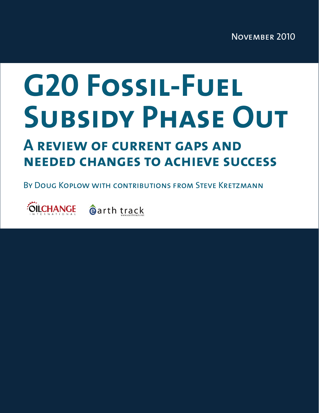# **G20 Fossil-Fuel Subsidy Phase Out**

# **A review of current gaps and needed changes to achieve success**

By Doug Koplow with contributions from Steve Kretzmann

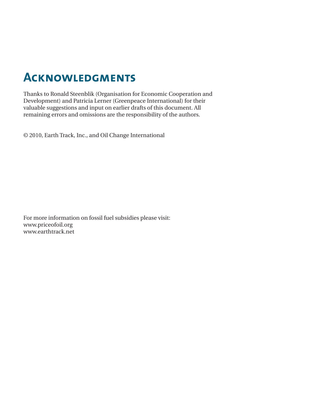# **Acknowledgments**

Thanks to Ronald Steenblik (Organisation for Economic Cooperation and Development) and Patricia Lerner (Greenpeace International) for their valuable suggestions and input on earlier drafts of this document. All remaining errors and omissions are the responsibility of the authors.

© 2010, Earth Track, Inc., and Oil Change International

For more information on fossil fuel subsidies please visit: www.priceofoil.org www.earthtrack.net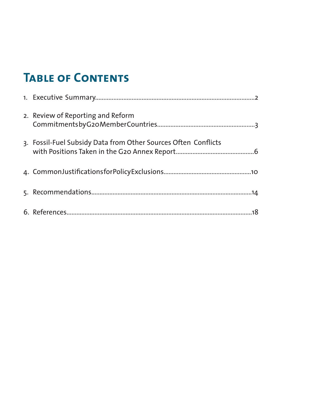# **Table of Contents**

| 2. Review of Reporting and Reform                              |
|----------------------------------------------------------------|
| 3. Fossil-Fuel Subsidy Data from Other Sources Often Conflicts |
|                                                                |
|                                                                |
|                                                                |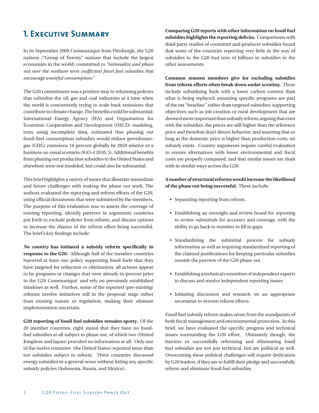## **1. Executive Summary**

In its September 2009 Communiqué from Pittsburgh, the G20 nations ("Group of Twenty" nations that include the largest economies in the world) committed to *"rationalize and phase out over the medium term inefficient fossil fuel subsidies that encourage wasteful consumption."* 

The G20 commitment was a positive step in reforming policies that subsidize the oil, gas and coal industries at a time when the world is concurrently trying to scale back emissions that contribute to climate change. The benefits could be substantial: International Energy Agency (IEA) and Organisation for Economic Cooperation and Development (OECD) modeling, even using incomplete data, estimated that phasing out fossil-fuel consumption subsidies would reduce greenhousegas (GHG) emissions 10 percent globally by 2050 relative to a business-as-usual scenario (IGO-4 2010; 5). Additional benefits from phasing out production subsidies in the United States and elsewhere were not modeled, but could also be substantial.

This brief highlights a variety of issues that illustrate immediate and future challenges with making the phase out work. The authors evaluated the reporting and reform efforts of the G20, using official documents that were submitted by the members. The purpose of this evaluation was to assess the coverage of existing reporting, identify patterns in arguments countries put forth to exclude policies from reform, and discuss options to increase the chance of the reform effort being successful. The brief's key findings include:

*No country* **has initiated a subsidy reform specifically in response to the G20.** Although half of the member countries reported at least one policy supporting fossil fuels that they have targeted for reduction or elimination, all actions appear to be programs or changes that were already in-process prior to the G20 Communiqué, and rely on previously established timelines as well. Further, some of the reported (pre-existing) reforms involve initiatives still in the proposal stage rather than existing statute or regulation, making their ultimate implementation uncertain.

**G20 reporting of fossil fuel subsidies remains spotty.** Of the 20 member countries, eight stated that they have no fossilfuel subsidies at all subject to phase out, of which two (United Kingdom and Japan) provided no information at all. Only one of the twelve countries (the United States) reported more than ten subsidies subject to reform. Three countries discussed energy subsidies in a general sense without listing any specific subsidy policies (Indonesia, Russia, and Mexico).

**Comparing G20 reports with other information on fossil fuel subsidies highlights the reporting deficits.** Comparisons with third party studies of consumer and producer subsidies found that some of the countries reporting very little in the way of subsidies to the G20 had tens of billions in subsidies in the other assessments.

**Common reasons members give for excluding subsidies from reform efforts often break down under scrutiny.** These include subsidizing fuels with a lower carbon content than what is being replaced; assuming specific programs are part of the tax "baseline" rather than targeted subsidies; supporting objectives such as job creation or rural development that are deemed more important than subsidy reform; arguing that even with the subsidies, the prices are still higher than the reference price and therefore don't distort behavior; and asserting that so long as the domestic price is higher than production costs, no subsidy exists. Country arguments require careful evaluation to ensure alternatives with lower environmental and fiscal costs are properly compared, and that similar issues are dealt with in similar ways across the G20.

#### **A number of structural reforms would increase the likelihood of the phase out being successful.** These include:

- • Separating reporting from reform.
- Establishing an oversight and review board for reporting to review submittals for accuracy and coverage, with the ability to go back to member to fill in gaps.
- • Standardizing the submittal process for subsidy information as well as requiring standardized reporting of the claimed justifications for keeping particular subsidies outside the purview of the G20 phase out.
- Establishing a technical committee of independent experts to discuss and resolve independent reporting issues.
- Initiating discussion and research on an appropriate secretariat to oversee reform efforts.

Fossil fuel subsidy reform makes sense from the standpoints of both fiscal management and environmental protection. In this brief, we have evaluated the specific progress and technical issues surrounding the G20 effort. Ultimately though, the barriers to successfully reforming and eliminating fossil fuel subsidies are not just technical, but are political as well. Overcoming these political challenges will require dedication by G20 leaders, if they are to fulfill their pledge and successfully reform and eliminate fossil fuel subsidies.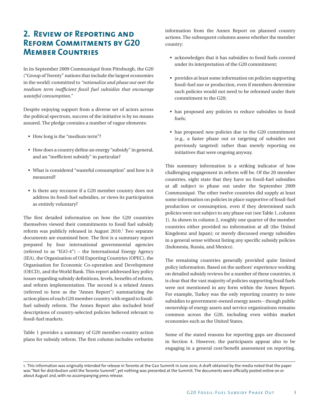### **2. Review of Reporting and Reform Commitments by G20 Member Countries**

In its September 2009 Communiqué from Pittsburgh, the G20 ("Group of Twenty" nations that include the largest economies in the world) committed to *"rationalize and phase out over the medium term inefficient fossil fuel subsidies that encourage wasteful consumption."* 

Despite enjoying support from a diverse set of actors across the political spectrum, success of the initiative is by no means assured. The pledge contains a number of vague elements:

- How long is the "medium term"?
- How does a country define an energy "subsidy" in general, and an "inefficient subsidy" in particular?
- • What is considered "wasteful consumption" and how is it measured?
- Is there any recourse if a G20 member country does not address its fossil-fuel subsidies, or views its participation as entirely voluntary?

The first detailed information on how the G20 countries themselves viewed their commitments to fossil fuel subsidy reform was publicly released in August 2010.<sup>1</sup> Two separate documents are examined here. The first is a summary report prepared by four international governmental agencies (referred to as "IGO-4") – the International Energy Agency (IEA), the Organisation of Oil Exporting Countries (OPEC), the Organisation for Economic Co-operation and Development (OECD), and theWorld Bank. This report addressed key policy issues regarding subsidy definitions, levels, benefits of reform, and reform implementation. The second is a related Annex (referred to here as the "Annex Report") summarizing the action plans of each G20 member country with regard to fossilfuel subsidy reform. The Annex Report also included brief descriptions of country-selected policies believed relevant to fossil-fuel markets.

Table 1 provides a summary of G20 member-country action plans for subsidy reform. The first column includes verbatim information from the Annex Report on planned country actions. The subsequent columns assess whether the member country:

- acknowledges that it has subsidies to fossil fuels covered under its interpretation of the G20 commitment;
- provides at least some information on policies supporting fossil-fuel use or production, even if members determine such policies would not need to be reformed under their commitment to the G20;
- • has proposed any policies to reduce subsidies to fossil fuels;
- has proposed *new* policies due to the G20 commitment (e.g., a faster phase out or targeting of subsidies not previously targeted) rather than merely reporting on initiatives that were ongoing anyway.

This summary information is a striking indicator of how challenging engagement in reform will be. Of the 20 member countries, eight state that they have no fossil-fuel subsidies at all subject to phase out under the September 2009 Communiqué. The other twelve countries did supply at least some information on policies in place supportive of fossil-fuel production or consumption, even if they determined such policies were not subject to any phase out (see Table 1, column 1). As shown in column 2, roughly one quarter of the member countries either provided no information at all (the United Kingdomz and Japan); or merely discussed energy subsidies in a general sense without listing any specific subsidy policies (Indonesia, Russia, and Mexico).

The remaining countries generally provided quite limited policy information. Based on the authors' experience working on detailed subsidy reviews for a number of these countries, it is clear that the vast majority of policies supporting fossil fuels were not mentioned in any form within the Annex Report. For example, Turkey was the only reporting country to note subsidies to government-owned energy assets – though public ownership of energy assets and service organizations remains common across the G20, including even within market economies such as the United States.

Some of the stated reasons for reporting gaps are discussed in Section 4. However, the participants appear also to be engaging in a general cost/benefit assessment on reporting.

<sup>1.</sup> This information was originally intended for release in Toronto at the G20 Summit in June 2010. A draft obtained by the media noted that the paper was "Not for distribution until the Toronto Summit", yet nothing was presented at the Summit. The documents were officially posted online on or about August 2nd, with no accompanying press release.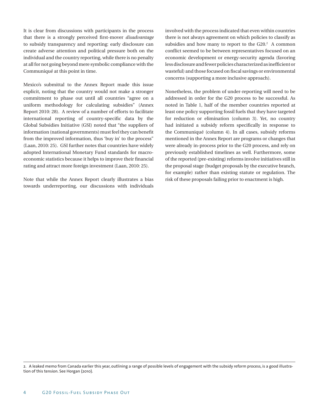It is clear from discussions with participants in the process that there is a strongly perceived first-mover *disadvantage* to subsidy transparency and reporting: early disclosure can create adverse attention and political pressure both on the individual and the country reporting, while there is no penalty at all for not going beyond mere symbolic compliance with the Communiqué at this point in time.

Mexico's submittal to the Annex Report made this issue explicit, noting that the country would not make a stronger commitment to phase out until all countries "agree on a uniform methodology for calculating subsidies" (Annex Report 2010: 28). A review of a number of efforts to facilitate international reporting of country-specific data by the Global Subsidies Initiative (GSI) noted that "the suppliers of information (national governments) must feel they can benefit from the improved information, thus 'buy in' to the process" (Laan, 2010: 25). GSI further notes that countries have widely adopted International Monetary Fund standards for macroeconomic statistics because it helps to improve their financial rating and attract more foreign investment (Laan, 2010: 25).

Note that while the Annex Report clearly illustrates a bias towards underreporting, our discussions with individuals involved with the process indicated that even within countries there is not always agreement on which policies to classify as subsidies and how many to report to the  $G20<sup>2</sup>$ . A common conflict seemed to be between representatives focused on an economic development or energy-security agenda (favoring less disclosure and fewer policies characterized as inefficient or wasteful) and those focused on fiscal savings or environmental concerns (supporting a more inclusive approach).

Nonetheless, the problem of under-reporting will need to be addressed in order for the G20 process to be successful. As noted in Table 1, half of the member countries reported at least one policy supporting fossil fuels that they have targeted for reduction or elimination (column 3). Yet, no country had initiated a subsidy reform specifically in response to the Communiqué (column 4). In all cases, subsidy reforms mentioned in the Annex Report are programs or changes that were already in-process prior to the G20 process, and rely on previously established timelines as well. Furthermore, some of the reported (pre-existing) reforms involve initiatives still in the proposal stage (budget proposals by the executive branch, for example) rather than existing statute or regulation. The risk of these proposals failing prior to enactment is high.

<sup>2.</sup> A leaked memo from Canada earlier this year, outlining a range of possible levels of engagement with the subsidy reform process, is a good illustration of this tension. See Horgan (2010).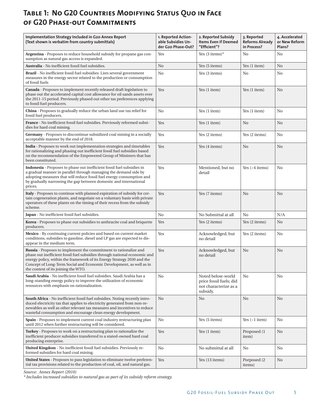## **Table 1: No G20 Countries Modifying Status Quo in Face of G20 Phase-out Commitments**

| Implementation Strategy Included in G20 Annex Report<br>(Text shown is verbatim from country submittals)                                                                                                                                                                                                                               | 1. Reported Action-<br>able Subsidies Un-<br>der G20 Phase-Out? | 2. Reported Subsidy<br><b>Items Even if Deemed</b><br>"Efficient"?                | 3. Reported<br><b>Reforms Already</b><br>in Process? | 4. Accelerated<br>or New Reform<br>Plans? |
|----------------------------------------------------------------------------------------------------------------------------------------------------------------------------------------------------------------------------------------------------------------------------------------------------------------------------------------|-----------------------------------------------------------------|-----------------------------------------------------------------------------------|------------------------------------------------------|-------------------------------------------|
| Argentina - Proposes to reduce household subsidy for propane gas con-<br>sumption as natural gas access is expanded.                                                                                                                                                                                                                   | Yes                                                             | Yes $(3$ items)*                                                                  | No                                                   | No                                        |
| Australia - No inefficient fossil fuel subsidies.                                                                                                                                                                                                                                                                                      | N <sub>0</sub>                                                  | Yes (5 items)                                                                     | Yes (1 item)                                         | N <sub>0</sub>                            |
| Brazil - No inefficient fossil fuel subsidies. Lists several government<br>measures in the energy sector related to the production or consumption<br>of fossil fuels                                                                                                                                                                   | No                                                              | Yes (3 items)                                                                     | No                                                   | No                                        |
| Canada - Proposes to implement recently released draft legislation to<br>phase out the accelerated capital cost allowance for oil sands assets over<br>the 2011-15 period. Previously phased out other tax preferences applying<br>to fossil fuel producers.                                                                           | Yes                                                             | Yes (1 item)                                                                      | Yes (1 item)                                         | N <sub>0</sub>                            |
| China - Proposes to gradually reduce the urban land use tax relief for<br>fossil fuel producers.                                                                                                                                                                                                                                       | No                                                              | Yes (1 item)                                                                      | Yes (1 item)                                         | N <sub>0</sub>                            |
| France - No inefficient fossil fuel subsidies. Previously reformed subsi-<br>dies for hard coal mining.                                                                                                                                                                                                                                | Yes                                                             | Yes (1 item)                                                                      | N <sub>o</sub>                                       | No                                        |
| Germany - Proposes to discontinue subsidized coal mining in a socially<br>acceptable manner by the end of 2018.                                                                                                                                                                                                                        | Yes                                                             | Yes (2 items)                                                                     | Yes (2 items)                                        | No                                        |
| India - Proposes to work out implementation strategies and timetables<br>for rationalizing and phasing out inefficient fossil fuel subsidies based<br>on the recommendation of the Empowered Group of Ministers that has<br>been constituted.                                                                                          | Yes                                                             | Yes (4 items)                                                                     | No                                                   | N <sub>0</sub>                            |
| <b>Indonesia</b> - Proposes to phase out inefficient fossil fuel subsidies in<br>a gradual manner in parallel through managing the demand side by<br>adopting measures that will reduce fossil fuel energy consumption and<br>by gradually narrowing the gap between domestic and international<br>prices.                             | Yes                                                             | Mentioned, but no<br>detail                                                       | Yes $(-4$ items)                                     | No                                        |
| Italy - Proposes to continue with planned expiration of subsidy for cer-<br>tain cogeneration plants, and negotiate on a voluntary basis with private<br>operators of these plants on the timing of their recess from the subsidy<br>scheme.                                                                                           | Yes                                                             | Yes (7 items)                                                                     | No                                                   | N <sub>0</sub>                            |
| Japan - No inefficient fossil fuel subsidies.                                                                                                                                                                                                                                                                                          | No                                                              | No Submittal at all                                                               | No                                                   | N/A                                       |
| Korea - Proposes to phase out subsidies to anthracite coal and briquette<br>producers.                                                                                                                                                                                                                                                 | Yes                                                             | Yes (2 items)                                                                     | Yes (2 items)                                        | N <sub>0</sub>                            |
| Mexico - By continuing current policies and based on current market<br>conditions, subsidies to gasoline, diesel and LP gas are expected to dis-<br>appear in the medium term.                                                                                                                                                         | Yes                                                             | Acknowledged, but<br>no detail                                                    | Yes (2 items)                                        | No                                        |
| Russia - Proposes to implement the commitment to rationalize and<br>phase out inefficient fossil fuel subsidies through national economic and<br>energy policy, within the framework of its Energy Strategy 2030 and the<br>Concept of Long-Term Social and Economic Development, as well as in<br>the context of its joining the WTO. | Yes                                                             | Acknowledged, but<br>no detail                                                    | No                                                   | N <sub>0</sub>                            |
| Saudi Arabia - No inefficient fossil fuel subsidies. Saudi Arabia has a<br>long-standing energy policy to improve the utilization of economic<br>resources with emphasis on rationalization.                                                                                                                                           | No                                                              | Noted below-world<br>price fossil fuels; did<br>not characterize as a<br>subsidy. | No                                                   | No                                        |
| South Africa - No inefficient fossil fuel subsidies. Noting recently intro-<br>duced electricity tax that applies to electricity generated from non-re-<br>newables as well as other relevant tax measures and incentives to reduce<br>wasteful consumption and encourage clean energy development.                                    | N <sub>0</sub>                                                  | No                                                                                | No                                                   | N <sub>0</sub>                            |
| Spain - Proposes to implement current coal industry restructuring plan<br>until 2012 when further restructuring will be considered.                                                                                                                                                                                                    | No                                                              | Yes (5 items)                                                                     | Yes $(-1$ item)                                      | No                                        |
| Turkey - Proposes to work on a restructuring plan to rationalize the<br>inefficient producer subsidies transferred to a stated-owned hard coal<br>producing enterprise.                                                                                                                                                                | Yes                                                             | Yes (1 item)                                                                      | Proposed (1)<br>item)                                | N <sub>0</sub>                            |
| United Kingdom - No inefficient fossil fuel subsidies. Previously re-<br>formed subsidies for hard coal mining.                                                                                                                                                                                                                        | No                                                              | No submittal at all                                                               | No                                                   | No                                        |
| United States - Proposes to pass legislation to eliminate twelve preferen-<br>tial tax provisions related to the production of coal, oil, and natural gas.                                                                                                                                                                             | Yes                                                             | Yes (13 items)                                                                    | Porposed (2)<br>items)                               | N <sub>0</sub>                            |

*Source: Annex Report (2010)*

*\* Includes increased subsidies to natural gas as part of its subsidy reform strategy.*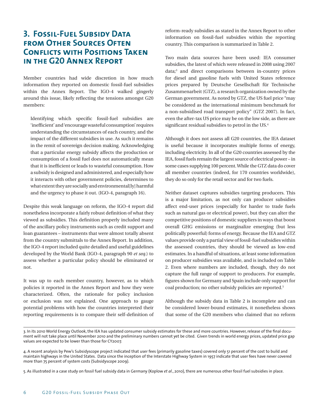#### **3. Fossil-Fuel Subsidy Data from Other Sources Often CONFLICTS WITH POSITIONS TAKEN in the G20 Annex Report**

Member countries had wide discretion in how much information they reported on domestic fossil-fuel subsidies within the Annex Report. The IGO-4 walked gingerly around this issue, likely reflecting the tensions amongst G20 members:

Identifying which specific fossil-fuel subsidies are 'inefficient' and 'encourage wasteful consumption' requires understanding the circumstances of each country, and the impact of the different subsidies in use. As such it remains in the remit of sovereign decision making. Acknowledging that a particular energy subsidy affects the production or consumption of a fossil fuel does not automatically mean that it is inefficient or leads to wasteful consumption. How a subsidy is designed and administered, and especially how it interacts with other government policies, determines to what extent they are socially and environmental[ly] harmful and the urgency to phase it out. (IGO-4, paragraph 16).

Despite this weak language on reform, the IGO-4 report did nonetheless incorporate a fairly robust definition of what they viewed as subsidies. This definition properly included many of the ancillary policy instruments such as credit support and loan guarantees – instruments that were almost totally absent from the country submittals to the Annex Report. In addition, the IGO-4 report included quite detailed and useful guidelines developed by the World Bank (IGO-4, paragraph 90 *et seq*.) to assess whether a particular policy should be eliminated or not.

It was up to each member country, however, as to which policies it reported in the Annex Report and how they were characterized. Often, the rationale for policy inclusion or exclusion was not explained. One approach to gauge potential problems with how the countries interpreted their reporting requirements is to compare their self-definition of

reform-ready subsidies as stated in the Annex Report to other information on fossil-fuel subsidies within the reporting country. This comparison is summarized in Table 2.

Two main data sources have been used: IEA consumer subsidies, the latest of which were released in 2008 using 2007 data;3 and direct comparisons between in-country prices for diesel and gasoline fuels with United States reference prices prepared by Deutsche Gesellschaft für Technische Zusammenarbeit (GTZ), a research organization owned by the German government. As noted by GTZ, the US fuel price "may be considered as the international minimum benchmark for a non-subsidised road transport policy" (GTZ 2007). In fact, even the after-tax US price may be on the low side, as there are significant residual subsidies to petrol in the US.4

Although it does not assess all G20 countries, the IEA dataset is useful because it incorporates multiple forms of energy, including electricity. In all of the G20 countries assessed by the IEA, fossil fuels remain the largest source of electrical power – in some cases supplying 100 percent.While the GTZ data do cover all member countries (indeed, for 170 countries worldwide), they do so only for the retail sector and for two fuels.

Neither dataset captures subsidies targeting producers. This is a major limitation, as not only can producer subsidies affect end-user prices (especially for harder to trade fuels such as natural gas or electrical power), but they can alter the competitive positions of domestic suppliers in ways that boost overall GHG emissions or marginalize emerging (but less politically powerful) forms of energy. Because the IEA and GTZ values provide only a partial view of fossil-fuel subsidies within the assessed countries, they should be viewed as low-end estimates. In a handful of situations, at least some information on producer subsidies was available, and is included on Table 2. Even where numbers are included, though, they do not capture the full range of support to producers. For example, figures shown for Germany and Spain include only support for coal production; no other subsidy policies are reported.5

Although the subsidy data in Table 2 is incomplete and can be considered lower-bound estimates, it nonetheless shows that some of the G20 members who claimed that no reform

<sup>3.</sup> In its 2010 World Energy Outlook, the IEA has updated consumer subsidy estimates for these and more countries. However, release of the final document will not take place until November 2010 and the preliminary numbers cannot yet be cited. Given trends in world energy prices, updated price gap values are expected to be lower than those for CY2007.

<sup>4.</sup> A recent analysis by Pew's Subsidyscope project indicated that user fees (primarily gasoline taxes) covered only 51 percent of the cost to build and maintain highways in the United States. Data since the inception of the Interstate Highway System in 1957 indicate that user fees have never covered more than 75 percent of system costs (Subsidyscope 2009).

<sup>5.</sup> As illustrated in a case study on fossil fuel subsidy data in Germany (Koplow *et al*., 2010), there are numerous other fossil fuel subsidies in place.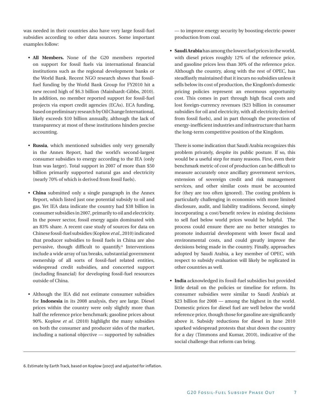was needed in their countries also have very large fossil-fuel subsidies according to other data sources. Some important examples follow:

- **All Members.** None of the G20 members reported on support for fossil fuels via international financial institutions such as the regional development banks or the World Bank. Recent NGO research shows that fossilfuel funding by the World Bank Group for FY2010 hit a new record high of \$6.3 billion (Mainhardt-Gibbs, 2010). In addition, no member reported support for fossil-fuel projects via export credit agencies (ECAs). ECA funding, based on preliminary research by Oil Change International, likely exceeds \$10 billion annually, although the lack of transparency at most of these institutions hinders precise accounting.
- • **Russia**, which mentioned subsidies only very generally in the Annex Report, had the world's second-largest consumer subsidies to energy according to the IEA (only Iran was larger). Total support in 2007 of more than \$50 billion primarily supported natural gas and electricity (nearly 70% of which is derived from fossil fuels).
- **China** submitted only a single paragraph in the Annex Report, which listed just one potential subsidy to oil and gas. Yet IEA data indicate the country had \$38 billion in consumer subsidies in 2007, primarily to oil and electricity. In the power sector, fossil energy again dominated with an 83% share. A recent case study of sources for data on Chinese fossil-fuel subsidies (Koplow *et al*., 2010) indicated that producer subsidies to fossil fuels in China are also pervasive, though difficult to quantify.6 Interventions include a wide array of tax breaks, substantial government ownership of all sorts of fossil-fuel related entities, widespread credit subsidies, and concerted support (including financial) for developing fossil-fuel resources outside of China.
- Although the IEA did not estimate consumer subsidies for **Indonesia** in its 2008 analysis, they are large. Diesel prices within the country were only slightly more than half the reference price benchmark; gasoline prices about 90%. Koplow *et al*. (2010) highlight the many subsidies on both the consumer and producer sides of the market, including a national objective — supported by subsidies

— to improve energy security by boosting electric-power production from coal.

• **Saudi Arabia** has among the lowest fuel prices in the world, with diesel prices roughly 12% of the reference price, and gasoline prices less than 30% of the reference price. Although the country, along with the rest of OPEC, has steadfastly maintained that it incurs no subsidies unless it sells below its cost of production, the Kingdom's domestic pricing policies represent an enormous opportunity cost. This comes in part through high fiscal costs and lost foreign-currency revenues (\$23 billion in consumer subsidies for oil and electricity, with all electricity derived from fossil fuels), and in part through the protection of energy-inefficient industries and infrastructure that harm the long-term competitive position of the Kingdom.

There is some indication that Saudi Arabia recognizes this problem privately, despite its public posture. If so, this would be a useful step for many reasons. First, even their benchmark metric of cost of production can be difficult to measure accurately once ancillary government services, extension of sovereign credit and risk management services, and other similar costs must be accounted for (they are too often ignored). The costing problem is particularly challenging in economies with more limited disclosure, audit, and liability traditions. Second, simply incorporating a cost/benefit review in existing decisions to sell fuel below world prices would be helpful. The process could ensure there are no better strategies to promote industrial development with lower fiscal and environmental costs, and could greatly improve the decisions being made in the country. Finally, approaches adopted by Saudi Arabia, a key member of OPEC, with respect to subsidy evaluation will likely be replicated in other countries as well.

• **India** acknowledged its fossil-fuel subsidies but provided little detail on the policies or timeline for reform. Its consumer subsidies were similar to Saudi Arabia's at \$23 billion for 2008 — among the highest in the world. Domestic prices for diesel fuel are well below the world reference price, though those for gasoline are significantly above it. Subsidy reductions for diesel in June 2010 sparked widespread protests that shut down the country for a day (Timmons and Kumar, 2010), indicative of the social challenge that reform can bring.

6. Estimate by Earth Track, based on Koplow (2007) and adjusted for inflation.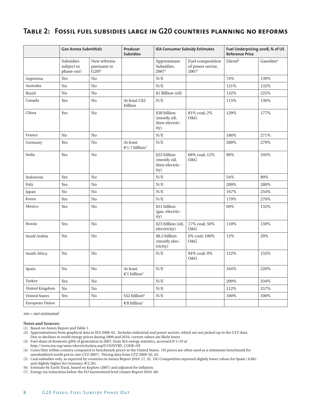#### **Table 2: Fossil fuel subsidies large in G20 countries planning no reforms**

|                       | <b>G20 Annex Submittals</b>                       |                                                   | Producer<br><b>IEA Consumer Subsidy Estimates</b><br><b>Subsidies</b> |                                                        |                                                  | Fuel Underpricing 2008, % of US<br><b>Reference Price</b> |                       |
|-----------------------|---------------------------------------------------|---------------------------------------------------|-----------------------------------------------------------------------|--------------------------------------------------------|--------------------------------------------------|-----------------------------------------------------------|-----------------------|
|                       | Subsidies<br>subject to<br>phase-out <sup>1</sup> | New reforms<br>pursuant to<br>$G20?$ <sup>1</sup> |                                                                       | Approximate<br>Subsidies,<br>2007 <sup>2</sup>         | Fuel composition<br>of power sector,<br>$2007^3$ | Diesel <sup>4</sup>                                       | Gasoline <sup>4</sup> |
| Argentina             | Yes                                               | N <sub>0</sub>                                    |                                                                       | N/E                                                    |                                                  | 74%                                                       | 139%                  |
| Australia             | N <sub>0</sub>                                    | N <sub>o</sub>                                    |                                                                       | N/E                                                    |                                                  | 121%                                                      | 132%                  |
| <b>Brazil</b>         | No                                                | No                                                |                                                                       | \$1 Billion (oil)                                      |                                                  | 132%                                                      | 225%                  |
| Canada                | Yes                                               | N <sub>0</sub>                                    | At least C\$2<br>billion                                              | N/E                                                    |                                                  | 115%                                                      | 136%                  |
| China                 | Yes                                               | N <sub>0</sub>                                    |                                                                       | \$38 billion<br>(mostly oil,<br>then electric-<br>ity) | 81% coal; 2%<br>O&G                              | 129%                                                      | 177%                  |
| France                | N <sub>o</sub>                                    | N <sub>0</sub>                                    |                                                                       | N/E                                                    |                                                  | 186%                                                      | 271%                  |
| Germany               | Yes                                               | N <sub>0</sub>                                    | At least<br>€1.7 billion <sup>5</sup>                                 | N/E                                                    |                                                  | 200%                                                      | 279%                  |
| India                 | Yes                                               | N <sub>0</sub>                                    |                                                                       | \$23 billion<br>(mostly oil,<br>then electric-<br>ity) | 68% coal; 12%<br>O&G                             | $90\%$                                                    | 195%                  |
| Indonesia             | Yes                                               | N <sub>0</sub>                                    |                                                                       | N/E                                                    |                                                  | 54%                                                       | 89%                   |
| Italy                 | Yes                                               | N <sub>0</sub>                                    |                                                                       | N/E                                                    |                                                  | 209%                                                      | 280%                  |
| Japan                 | N <sub>o</sub>                                    | N <sub>0</sub>                                    |                                                                       | N/E                                                    |                                                  | 167%                                                      | 254%                  |
| Korea                 | Yes                                               | N <sub>o</sub>                                    |                                                                       | N/E                                                    |                                                  | 179%                                                      | 270%                  |
| Mexico                | Yes                                               | No                                                |                                                                       | \$51 billion<br>(gas, electric-<br>ity)                |                                                  | 69%                                                       | 132%                  |
| Russia                | Yes                                               | N <sub>0</sub>                                    |                                                                       | \$23 billion (oil,<br>electricity)                     | 17% coal; 50%<br>O&G                             | 110%                                                      | 159%                  |
| Saudi Arabia          | N <sub>0</sub>                                    | N <sub>o</sub>                                    |                                                                       | \$8.5 billion<br>(mostly elec-<br>tricity)             | 0% coal; 100%<br>O&G                             | 12%                                                       | 29%                   |
| South Africa          | No                                                | N <sub>0</sub>                                    |                                                                       | N/E                                                    | 94% coal; 0%<br>O&G                              | 122%                                                      | 155%                  |
| Spain                 | No                                                | N <sub>0</sub>                                    | At least<br>€1 billion <sup>5</sup>                                   | N/E                                                    |                                                  | 164%                                                      | 220%                  |
| Turkey                | Yes                                               | No                                                |                                                                       | N/E                                                    |                                                  | 209%                                                      | 334%                  |
| <b>United Kingdom</b> | No                                                | N <sub>0</sub>                                    |                                                                       | N/E                                                    |                                                  | 212%                                                      | 257%                  |
| <b>United States</b>  | Yes                                               | N <sub>0</sub>                                    | \$52 billion <sup>6</sup>                                             | N/E                                                    |                                                  | 100%                                                      | 100%                  |
| European Union        |                                                   |                                                   | €8 billion <sup>7</sup>                                               |                                                        |                                                  |                                                           |                       |

*n/e = not estimated*

#### **Notes and Sources:**

(1) Based on Annex Report and Table 1. 

- (2) Approximations from graphical data in IEA 2008: 62. Includes industrial and power sectors, which are not picked up in the GTZ data. Due to declines in world energy prices during 2009 and 2010, current values are likely lower.
- (3) Fuel share of domestic gWh of generation in 2007, from IEA energy statistics, accessed 9/1/10 at http://www.iea.org/stats/electricitydata.asp?COUNTRY\_CODE=IN

(7) Energy tax reductions below the EU harmonized level (Annex Report 2010: 48).

<sup>(4)</sup> Cents/litre within country compared to benchmark prices in the United States. US prices are often used as a minimum benchmark for unsubsidized world prices (see GTZ 2007). Pricing data from GTZ 2009: 62, 63.

<sup>(5)</sup> Coal subsidies only, as reported by countries in Annex Report 2010: 17, 32. DG Competition reported slightly lower values for Spain (€0.8b) and slightly higher for Germany (€2.2b).

<sup>(6)</sup> Estimate by Earth Track, based on Koplow (2007) and adjusted for inflation.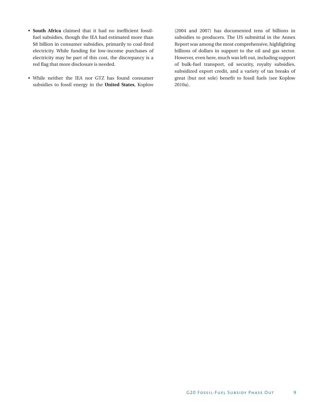- **South Africa** claimed that it had no inefficient fossilfuel subsidies, though the IEA had estimated more than \$8 billion in consumer subsidies, primarily to coal-fired electricity. While funding for low-income purchases of electricity may be part of this cost, the discrepancy is a red flag that more disclosure is needed.
- • While neither the IEA nor GTZ has found consumer subsidies to fossil energy in the **United States**, Koplow

(2004 and 2007) has documented tens of billions in subsidies to producers. The US submittal in the Annex Report was among the most comprehensive, highlighting billions of dollars in support to the oil and gas sector. However, even here, much was left out, including support of bulk-fuel transport, oil security, royalty subsidies, subsidized export credit, and a variety of tax breaks of great (but not sole) benefit to fossil fuels (see Koplow 2010a).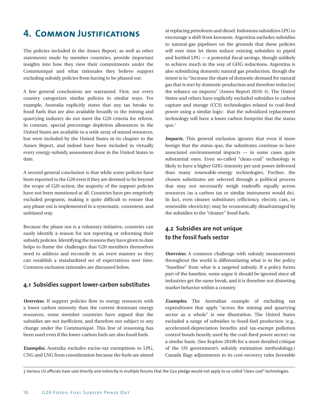# **4. COMMON JUSTIFICATIONS**

The policies included in the Annex Report, as well as other statements made by member countries, provide important insights into how they view their commitments under the Communiqué and what rationales they believe support excluding subsidy policies from having to be phased out.

A few general conclusions are warranted. First, not every country categorizes similar policies in similar ways. For example, Australia explicitly states that any tax breaks to fossil fuels that are also available broadly to the mining and quarrying industry do not meet the G20 criteria for reform. In contrast, special percentage depletion allowances in the United States are available to a wide array of mined resources, but were included by the United States in its chapter to the Annex Report, and indeed have been included in virtually every energy-subsidy assessment done in the United States to date.

A second general conclusion is that while some policies have been reported to the G20 even if they are deemed to be beyond the scope of G20 action, the majority of the support policies have not been mentioned at all. Countries have pre-emptively excluded programs, making it quite difficult to ensure that any phase out is implemented in a systematic, consistent, and unbiased way.

Because the phase out is a voluntary initiative, countries can easily identify a reason for not reporting or reforming their subsidy policies. Identifying the reasons they have given to date helps to frame the challenges that G20 members themselves need to address and reconcile in an overt manner so they can establish a standardized set of expectations over time. Common exclusion rationales are discussed below.

#### **4.1 Subsidies support lower-carbon substitutes**

*Overview.* If support policies flow to energy resources with a lower carbon intensity than the current dominant energy resources, some member countries have argued that the subsidies are not inefficient, and therefore not subject to any change under the Communiqué. This line of reasoning has been used even if the lower-carbon fuels are also fossil fuels.

*Examples.* Australia excludes excise-tax exemptions to LPG, CNG and LNG from consideration because the fuels are aimed

at replacing petroleum and diesel. Indonesia subsidizes LPG to encourage a shift from kerosene. Argentina excludes subsidies to natural-gas pipelines on the grounds that these policies will over time let them reduce existing subsidies to piped and bottled LPG — a potential fiscal savings, though unlikely to achieve much in the way of GHG reductions. Argentina is also subsidizing domestic natural gas production, though the intent is to "increase the share of domestic demand for natural gas that is met by domestic production and therefore reduc[es] the reliance on imports" (Annex Report 2010: 4). The United States and others have explicitly excluded subsidies to carbon capture and storage (CCS) technologies related to coal-fired power using a similar logic: that the subsidized replacement technology will have a lower carbon footprint that the status quo.7

*Impacts*. This general exclusion ignores that even if more benign that the status quo, the substitutes continue to have associated environmental impacts — in some cases quite substantial ones. Even so-called "clean-coal" technology is likely to have a higher GHG-intensity per unit power delivered than many renewable-energy technologies. Further, the chosen substitutes are selected through a political process that may not necessarily weigh tradeoffs equally across resources (as a carbon tax or similar instrument would do). In fact, even cleaner substitutes (efficiency, electric cars, or renewable electricity) may be economically disadvantaged by the subsidies to the "cleaner" fossil fuels.

#### **4.2 Subsidies are not unique to the fossil fuels sector**

*Overview.* A common challenge with subsidy measurement throughout the world is differentiating what is in the policy "baseline" from what is a targeted subsidy. If a policy forms part of the baseline, some argue it should be ignored since all industries get the same break, and it is therefore not distorting market behavior within a country.

*Examples.* The Australian example of excluding tax expenditures that apply "across the mining and quarrying sector as a whole" is one illustration. The United States excluded a range of subsidies to fossil-fuel production (e.g., accelerated-depreciation benefits and tax-exempt pollution control bonds heavily used by the coal-fired power sector) on a similar basis. (See Koplow 2010b for a more detailed critique of the US government's subsidy estimation methodology.) Canada flags adjustments to its cost-recovery rules favorable

<sup>7.</sup> Various US officials have said directly and indirectly in multiple forums that the G20 pledge would not apply to so-called "clean-coal" technologies.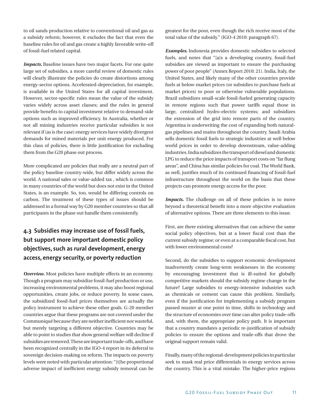to oil sands production relative to conventional oil and gas as a subsidy reform; however, it excludes the fact that even the baseline rules for oil and gas create a highly favorable write-off of fossil-fuel related capital.

*Impacts*. Baseline issues have two major facets. For one quite large set of subsidies, a more careful review of domestic rules will clearly illustrate the policies do create distortions among energy-sector options. Accelerated-depreciation, for example, is available in the United States for all capital investment. However, sector-specific rules mean the value of the subsidy varies widely across asset classes; and the rules in general provide benefits to capital investment relative to demand-side options such as improved efficiency. In Australia, whether or not all mining industries receive particular subsidies is not relevant if (as is the case) energy services have widely divergent demands for mined materials per unit energy produced. For this class of policies, there is little justification for excluding them from the G20 phase out process.

More complicated are policies that really are a neutral part of the policy baseline country-wide, but differ widely across the world. A national sales or value-added tax , which is common in many countries of the world but does not exist in the United States, is an example. So, too, would be differing controls on carbon. The treatment of these types of issues should be addressed in a formal way by G20 member countries so that all participants in the phase out handle them consistently.

#### **4.3 Subsidies may increase use of fossil fuels, but support more important domestic policy objectives, such as rural development, energy access, energy security, or poverty reduction**

*Overview.* Most policies have multiple effects in an economy. Though a program may subsidize fossil-fuel production or use, increasing environmental problems, it may also boost regional opportunities, create jobs, or reduce poverty. In some cases, the subsidized fossil-fuel prices themselves are actually the policy instrument to achieve these other goals. G-20 member countries argue that these programs are not covered under the Communiqué because they are neither inefficient nor wasteful, but merely targeting a different objective. Countries may be able to point to studies that show general welfare will decline if subsidies are removed. These are important trade-offs, and have been recognized centrally in the IGO-4 report in its deferral to sovereign decision-making on reform. The impacts on poverty levels were noted with particular attention: "[t]he proportional adverse impact of inefficient energy subsidy removal can be greatest for the poor, even though the rich receive most of the total value of the subsidy." (IGO-4 2010: paragraph 67).

*Examples.* Indonesia provides domestic subsidies to selected fuels, and notes that "[a]s a developing country, fossil-fuel subsidies are viewed as important to ensure the purchasing power of poor people" (Annex Report 2010: 21). India, Italy, the United States, and likely many of the other countries provide fuels at below-market prices (or subsidies to purchase fuels at market prices) to poor or otherwise vulnerable populations. Brazil subsidizes small-scale fossil-fueled generating capacity in remote regions such that power tariffs equal those in large, centralized hydro-electric systems; and subsidizes the extension of the grid into remote parts of the country. Argentina is underwriting the cost of expanding both naturalgas pipelines and mains throughout the country. Saudi Arabia sells domestic fossil fuels to strategic industries at well below world prices in order to develop downstream, value-adding industries. India subsidizes the transport of diesel and domestic LPG to reduce the price impacts of transport costs on "far flung areas", and China has similar policies for coal. TheWorld Bank, as well, justifies much of its continued financing of fossil-fuel infrastructure throughout the world on the basis that these projects can promote energy access for the poor.

*Impacts.* The challenge on all of these policies is to move beyond a theoretical benefit into a more objective evaluation of alternative options. There are three elements to this issue.

First, are there existing alternatives that can achieve the same social policy objectives, but at a lower fiscal cost than the current subsidy regime; or even at a comparable fiscal cost, but with lower environmental costs?

Second, do the subsidies to support economic development inadvertently create long-term weaknesses in the economy by encouraging investment that is ill-suited for globally competitive markets should the subsidy regime change in the future? Large subsidies to energy-intensive industries such as chemicals or cement can cause this problem. Similarly, even if the justification for implementing a subsidy program passed muster at one point in time, shifts in technology and the structure of economies over time can alter policy trade-offs and, with them, the appropriate policy path. It is important that a country mandates a periodic re-justification of subsidy policies to ensure the options and trade-offs that drove the original support remain valid.

Finally, many of the regional-development policies in particular seek to mask real price differentials in energy services across the country. This is a vital mistake. The higher-price regions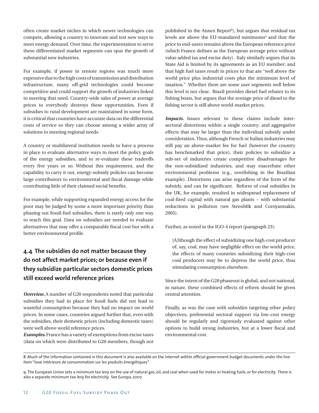often create market niches in which newer technologies can compete, allowing a country to innovate and test new ways to meet energy demand. Over time, the experimentation to serve these differentiated market segments can spur the growth of substantial new industries.

For example, if power in remote regions was much more expensive due to the high costs of transmission and distribution infrastructure, many off-grid technologies could become competitive and could support the growth of industries linked to meeting that need. Country-wide sales of power at average prices to everybody destroys these opportunities. Even if subsidies to rural development are maintained in some form, it is critical that countries have accurate data on the differential costs of service so they can choose among a wider array of solutions to meeting regional needs.

A country or multilateral institution needs to have a process in place to evaluate alternative ways to meet the policy goals of the energy subsidies, and to re-evaluate these tradeoffs every five years or so. Without this requirement, and the capability to carry it out, energy-subsidy policies can become large contributors to environmental and fiscal damage while contributing little of their claimed social benefits.

For example, while supporting expanded energy access for the poor may be judged by some a more important priority than phasing out fossil-fuel subsidies, there is rarely only one way to reach this goal. Data on subsidies are needed to evaluate alternatives that may offer a comparable fiscal cost but with a better environmental profile.

#### **4.4 The subsidies do not matter because they do not affect market prices; or because even if they subsidize particular sectors domestic prices still exceed world reference prices**

*Overview.* A number of G20 respondents noted that particular subsidies they had in place for fossil fuels did not lead to wasteful consumption because they had no impact on world prices. In some cases, countries argued further that, even with the subsidies, their domestic prices (including domestic taxes) were well above world reference prices.

*Examples.* France has a variety of exemptions from excise taxes (data on which were distributed to G20 members, though not

published in the Annex Report<sup>8</sup>), but argues that residual tax levels are above the EU-mandated minimums<sup>9</sup> and that the price to end-users remains above the European reference price (which France defines as the European average price without value added tax and excise duty). Italy similarly argues that its State Aid is limited by its agreements as an EU member; and that high fuel taxes result in prices to that are "well above the world price plus industrial costs plus the minimum level of taxation." Whether there are some user segments well below this level is not clear. Brazil provides diesel fuel rebates to its fishing boats, but argues that the average price of diesel to the fishing sector is still above world-market prices.

*Impacts*. Issues relevant to these claims include intersectoral distortions within a single country; and aggregative effects that may be larger than the individual subsidy under consideration. Thus, although French or Italian industries may still pay an above-market fee for fuel (however the country has benchmarked that price), their policies to subsidize a sub-set of industries create competitive disadvantages for the non-subsidized industries, and may exacerbate other environmental problems (e.g., overfishing in the Brazilian example). Distortions can arise regardless of the form of the subsidy, and can be significant. Reform of coal subsidies in the UK, for example, resulted in widespread replacement of coal-fired capital with natural gas plants – with substantial reductions in pollution (see Steenblik and Coroyannakis, 2005).

Further, as noted in the IGO-4 report (paragraph 23):

[A]lthough the effect of subsidizing one high-cost producer of, say, coal, may have negligible effect on the world price, the effects of many countries subsidizing their high-cost coal producers may be to depress the world price, thus stimulating consumption elsewhere.

Since the intent of the G20 phaseout is global, and not national, in nature, these combined effects of reform should be given central attention.

Finally, as was the case with subsidies targeting other policy objectives, preferential sectoral support via low-cost energy should be regularly and rigorously evaluated against other options to build strong industries, but at a lower fiscal and environmental cost.

<sup>8.</sup> Much of the information contained in this document is also available on the internet within official government budget documents under the line item "taxe intérieure de consommation sur les produits énergétiques".

<sup>9.</sup> The European Union sets a minimum tax levy on the use of natural gas, oil, and coal when used for motor or heating fuels, or for electricity. There is also a separate minimum tax levy for electricity. See Europa, 2007.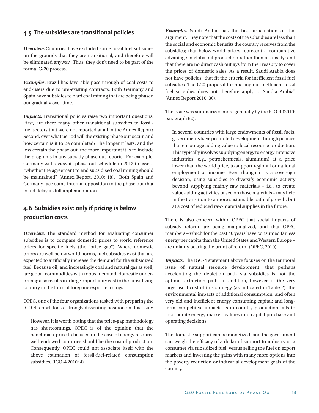#### **4.5 The subsidies are transitional policies**

*Overview.* Countries have excluded some fossil fuel subsidies on the grounds that they are transitional, and therefore will be eliminated anyway. Thus, they don't need to be part of the formal G-20 process.

*Examples.* Brazil has favorable pass-through of coal costs to end-users due to pre-existing contracts. Both Germany and Spain have subsidies to hard coal mining that are being phased out gradually over time.

*Impacts*. Transitional policies raise two important questions. First, are there many other transitional subsidies to fossilfuel sectors that were not reported at all in the Annex Report? Second, over what period will the existing phase out occur, and how certain is it to be completed? The longer it lasts, and the less certain the phase out, the more important it is to include the programs in any subsidy phase out reports. For example, Germany will review its phase out schedule in 2012 to assess "whether the agreement to end subsidised coal mining should be maintained" (Annex Report, 2010: 18). Both Spain and Germany face some internal opposition to the phase out that could delay its full implementation.

#### **4.6 Subsidies exist only if pricing is below production costs**

*Overview*. The standard method for evaluating consumer subsidies is to compare domestic prices to world reference prices for specific fuels (the "price gap"). Where domestic prices are well below world norms, fuel subsidies exist that are expected to artificially increase the demand for the subsidized fuel. Because oil, and increasingly coal and natural gas as well, are global commodities with robust demand, domestic underpricing also results in a large opportunity cost to the subsidizing country in the form of foregone export earnings.

OPEC, one of the four organizations tasked with preparing the IGO-4 report, took a strongly dissenting position on this issue:

However, it is worth noting that the price-gap methodology has shortcomings. OPEC is of the opinion that the benchmark price to be used in the case of energy resource well-endowed countries should be the cost of production. Consequently, OPEC could not associate itself with the above estimation of fossil-fuel-related consumption subsidies. (IGO-4 2010: 4)

*Examples.* Saudi Arabia has the best articulation of this argument. They note that the costs of the subsidies are less than the social and economic benefits the country receives from the subsidies; that below-world prices represent a comparative advantage in global oil production rather than a subsidy; and that there are no direct cash outlays from the Treasury to cover the prices of domestic sales. As a result, Saudi Arabia does not have policies "that fit the criteria for inefficient fossil fuel subsidies. The G20 proposal for phasing out inefficient fossil fuel subsidies does not therefore apply to Saudia Arabia" (Annex Report 2010: 30).

The issue was summarized more generally by the IGO-4 (2010: paragraph 62):

In several countries with large endowments of fossil fuels, governments have promoted development through policies that encourage adding value to local resource production. This typically involves supplying energy to energy-intensive industries (e.g., petrochemicals, aluminum) at a price lower than the world price, to support regional or national employment or income. Even though it is a sovereign decision, using subsidies to diversify economic activity beyond supplying mainly raw materials – i.e., to create value-adding activities based on those materials – may help in the transition to a more sustainable path of growth, but at a cost of reduced raw-material supplies in the future.

There is also concern within OPEC that social impacts of subsidy reform are being marginalized, and that OPEC members – which for the past 40 years have consumed far less energy per capita than the United States and Western Europe are unfairly bearing the brunt of reform (OPEC, 2010).

*Impacts.* The IGO-4 statement above focuses on the temporal issue of natural resource development: that perhaps accelerating the depletion path via subsidies is not the optimal extraction path. In addition, however, is the very large fiscal cost of this strategy (as indicated in Table 2); the environmental impacts of additional consumption, and often very old and inefficient energy consuming capital; and longterm competitive impacts as in-country production fails to incorporate energy market realities into capital purchase and operating decisions.

The domestic support can be monetized, and the government can weigh the efficacy of a dollar of support to industry or a consumer via subsidized fuel, versus selling the fuel on export markets and investing the gains with many more options into the poverty reduction or industrial development goals of the country.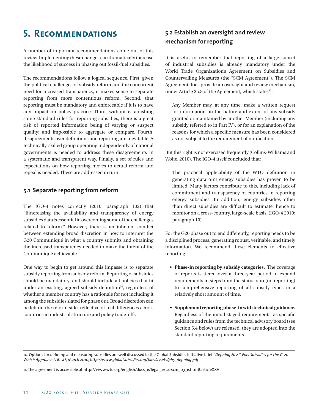# **5. Recommendations**

A number of important recommendations come out of this review. Implementing these changes can dramatically increase the likelihood of success in phasing out fossil-fuel subsidies.

The recommendations follow a logical sequence. First, given the political challenges of subsidy reform and the concurrent need for increased transparency, it makes sense to separate reporting from more contentious reform. Second, that reporting must be mandatory and enforceable if it is to have any impact on policy practice. Third, without establishing some standard rules for reporting subsidies, there is a great risk of reported information being of varying or suspect quality; and impossible to aggregate or compare. Fourth, disagreements over definitions and reporting are inevitable. A technically-skilled group operating independently of national governments is needed to address these disagreements in a systematic and transparent way. Finally, a set of rules and expectations on how reporting moves to actual reform and repeal is needed. These are addressed in turn.

#### **5.1 Separate reporting from reform**

The IGO-4 notes correctly (2010: paragraph 102) that "[i]ncreasing the availability and transparency of energy subsidies data is essential in overcoming some of the challenges related to reform." However, there is an inherent conflict between extending broad discretion in how to interpret the G20 Communiqué in what a country submits and obtaining the increased transparency needed to make the intent of the Communiqué achievable.

One way to begin to get around this impasse is to separate subsidy reporting from subsidy reform. Reporting of subsidies should be mandatory; and should include all policies that fit under an existing, agreed subsidy definition $10$ , regardless of whether a member country has a rationale for not including it among the subsidies slated for phase out. Broad discretion can be left on the reform side, reflective of real differences across countries in industrial structure and policy trade-offs.

#### **5.2 Establish an oversight and review mechanism for reporting**

It is useful to remember that reporting of a large subset of industrial subsidies is already mandatory under the World Trade Organization's Agreement on Subsidies and Countervailing Measures (the "SCM Agreement"). The SCM Agreement does provide an oversight and review mechanism, under Article 25.8 of the Agreement, which states<sup>11</sup>:

Any Member may, at any time, make a written request for information on the nature and extent of any subsidy granted or maintained by another Member (including any subsidy referred to in Part IV), or for an explanation of the reasons for which a specific measure has been considered as not subject to the requirement of notification.

But this right is not exercised frequently (Collins-Williams and Wolfe, 2010). The IGO-4 itself concluded that:

The practical applicability of the WTO definition in generating data o[n] energy subsidies has proven to be limited. Many factors contribute to this, including lack of commitment and transparency of countries in reporting energy subsidies. In addition, energy subsidies other than direct subsidies are difficult to estimate, hence to monitor on a cross-country, large-scale basis. (IGO-4 2010: paragraph 10).

For the G20 phase out to end differently, reporting needs to be a disciplined process, generating robust, verifiable, and timely information. We recommend these elements to effective reporting.

- **Phase-in reporting by subsidy categories.** The coverage of reports is tiered over a three-year period to expand requirements in steps from the status quo (no reporting) to comprehensive reporting of all subsidy types in a relatively short amount of time.
- **• Supplement reportingphase-inwithtechnicalguidance.** Regardless of the initial staged requirements, as specific guidance and rules from the technical advisory board (see Section 5.4 below) are released, they are adopted into the standard reporting requirements.

11. The agreement is accessible at http://www.wto.org/english/docs\_e/legal\_e/24-scm\_03\_e.htm#articleXXV

<sup>10.</sup> Options for defining and measuring subsidies are well discussed in the Global Subsidies Initiative brief *"Defining Fossil-Fuel Subsidies for the G-20: Which Approach is Best?, March 2010, http://www.globalsubsidies.org/files/assets/pb5\_defining.pdf*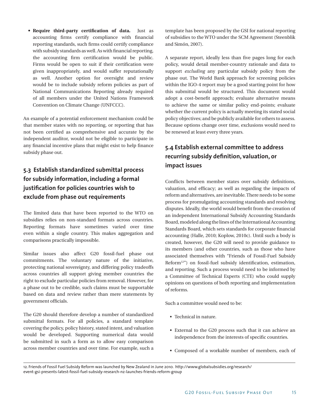**• Require third-party certification of data.** Just as accounting firms certify compliance with financial reporting standards, such firms could certify compliance with subsidy standards as well. As with financial reporting, the accounting firm certification would be public. Firms would be open to suit if their certification were given inappropriately, and would suffer reputationally as well. Another option for oversight and review would be to include subsidy reform policies as part of National Communications Reporting already required of all members under the United Nations Framework Convention on Climate Change (UNFCCC).

An example of a potential enforcement mechanism could be that member states with no reporting, or reporting that has not been certified as comprehensive and accurate by the independent auditor, would not be eligible to participate in any financial incentive plans that might exist to help finance subsidy phase out.

#### **5.3 Establish standardized submittal process for subsidy information, including a formal justification for policies countries wish to exclude from phase out requirements**

The limited data that have been reported to the WTO on subsidies relies on non-standard formats across countries. Reporting formats have sometimes varied over time even within a single country. This makes aggregation and comparisons practically impossible.

Similar issues also affect G20 fossil-fuel phase out commitments. The voluntary nature of the initiative, protecting national sovereignty, and differing policy tradeoffs across countries all support giving member countries the right to exclude particular policies from removal. However, for a phase out to be credible, such claims must be supportable based on data and review rather than mere statements by government officials.

The G20 should therefore develop a number of standardized submittal formats. For all policies, a standard template covering the policy, policy history, stated intent, and valuation would be developed. Supporting numerical data would be submitted in such a form as to allow easy comparison across member countries and over time. For example, such a

template has been proposed by the GSI for national reporting of subsidies to the WTO under the SCM Agreement (Steenblik and Simón, 2007).

A separate report, ideally less than five pages long for each policy, would detail member-country rationale and data to support *excluding* any particular subsidy policy from the phase out. The World Bank approach for screening policies within the IGO-4 report may be a good starting point for how this submittal would be structured. This document would adopt a cost-benefit approach; evaluate alternative means to achieve the same or similar policy end-points; evaluate whether the current policy is actually meeting its stated social policy objectives; and be publicly available for others to assess. Because options change over time, exclusions would need to be renewed at least every three years.

#### **5.4 Establish external committee to address recurring subsidy definition, valuation, or impact issues**

Conflicts between member states over subsidy definitions, valuation, and efficacy; as well as regarding the impacts of reform and alternatives, are inevitable. There needs to be some process for promulgating accounting standards and resolving disputes. Ideally, the world would benefit from the creation of an independent International Subsidy Accounting Standards Board, modeled along the lines of the International Accounting Standards Board, which sets standards for corporate financial accounting (Halle, 2010; Koplow, 2010c). Until such a body is created, however, the G20 will need to provide guidance to its members (and other countries, such as those who have associated themselves with "Friends of Fossil-Fuel Subsidy Reform<sup>12"</sup>) on fossil-fuel subsidy identification, estimation, and reporting. Such a process would need to be informed by a Committee of Technical Experts (CTE) who could supply opinions on questions of both reporting and implementation of reforms.

Such a committee would need to be:

- Technical in nature.
- • External to the G20 process such that it can achieve an independence from the interests of specific countries.
- • Composed of a workable number of members, each of

<sup>12.</sup> Friends of Fossil Fuel Subsidy Reform was launched by New Zealand in June 2010. http://www.globalsubsidies.org/research/ event-gsi-presents-latest-fossil-fuel-subsidy-research-nz-launches-friends-reform-group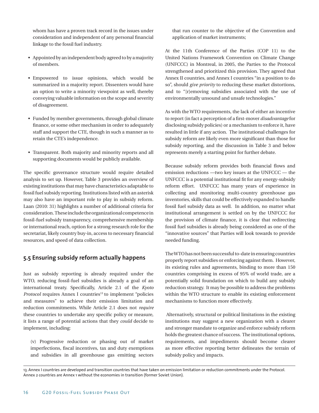whom has have a proven track record in the issues under consideration and independent of any personal financial linkage to the fossil fuel industry.

- Appointed by an independent body agreed to by a majority of members.
- • Empowered to issue opinions, which would be summarized in a majority report. Dissenters would have an option to write a minority viewpoint as well, thereby conveying valuable information on the scope and severity of disagreement.
- Funded by member governments, through global climate finance, or some other mechanism in order to adequately staff and support the CTE, though in such a manner as to retain the CTE's independence.
- Transparent. Both majority and minority reports and all supporting documents would be publicly available.

The specific governance structure would require detailed analysis to set up. However, Table 3 provides an overview of existing institutions that may have characteristics adaptable to fossil fuel subsidy reporting. Institutions listed with an asterisk may also have an important role to play in subsidy reform. Laan (2010: 31) highlights a number of additional criteria for consideration. These include the organizational competence in fossil-fuel subsidy transparency, comprehensive membership or international reach, option for a strong research role for the secretariat, likely country buy-in, access to necessary financial resources, and speed of data collection.

#### **5.5 Ensuring subsidy reform actually happens**

Just as subsidy reporting is already required under the WTO, reducing fossil-fuel subsidies is already a goal of an international treaty. Specifically, Article 2.1 of the *Kyoto Protocol* requires Annex I countries<sup>13</sup> to implement "policies" and measures" to achieve their emission limitation and reduction commitments. While Article 2.1 does not *require* these countries to undertake any specific policy or measure, it lists a range of potential actions that they *could* decide to implement, including:

(v) Progressive reduction or phasing out of market imperfections, fiscal incentives, tax and duty exemptions and subsidies in all greenhouse gas emitting sectors that run counter to the objective of the Convention and application of market instruments;

At the 11th Conference of the Parties (COP 11) to the United Nations Framework Convention on Climate Change (UNFCCC) in Montreal, in 2005, the Parties to the Protocol strengthened and prioritized this provision. They agreed that Annex II countries, and Annex I countries "in a position to do so", should *give priority* to reducing these market distortions, and to "[r]emoving subsidies associated with the use of environmentally unsound and unsafe technologies."

As with the WTO requirements, the lack of either an incentive to report (in fact a perception of a first-mover *disadvantage* for disclosing subsidy policies) or a mechanism to enforce it, have resulted in little if any action. The institutional challenges for subsidy reform are likely even more significant than those for subsidy reporting, and the discussion in Table 3 and below represents merely a starting point for further debate.

Because subsidy reform provides both financial flows and emission reductions —two key issues at the UNFCCC — the UNFCCC is a potential institutional fit for any energy-subsidy reform effort. UNFCCC has many years of experience in collecting and monitoring multi-country greenhouse gas inventories, skills that could be effectively expanded to handle fossil fuel subsidy data as well. In addition, no matter what institutional arrangement is settled on by the UNFCCC for the provision of climate finance, it is clear that redirecting fossil fuel subsidies is already being considered as one of the "innovative sources" that Parties will look towards to provide needed funding.

The WTO has not been successful to-date in ensuring countries properly report subsidies or enforcing against them. However, its existing rules and agreements, binding to more than 150 countries comprising in excess of 95% of world trade, are a potentially solid foundation on which to build any subsidy reduction strategy. It may be possible to address the problems within the WTO structure to enable its existing enforcement mechanisms to function more effectively.

 Alternatively, structural or political limitations in the existing institutions may suggest a new organization with a clearer and stronger mandate to organize and enforce subsidy reform holds the greatest chance of success. The institutional options, requirements, and impediments should become clearer as more effective reporting better delineates the terrain of subsidy policy and impacts.

<sup>13.</sup> Annex I countries are developed and transition countries that have taken on emission limitation or reduction commitments under the Protocol. Annex 2 countries are Annex 1 without the economies in transition (former Soviet Union).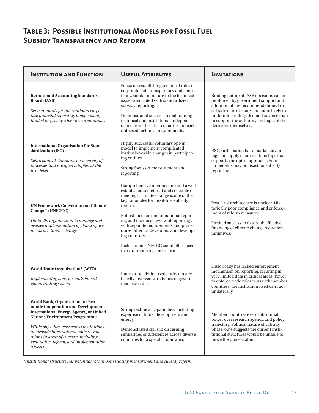## **Table 3: Possible Institutional Models for Fossil Fuel Subsidy Transparency and Reform**

| <b>INSTITUTION AND FUNCTION</b>                                                                                                                                                                                                                                                                                                                          | <b>USEFUL ATTRIBUTES</b>                                                                                                                                                                                                                                                                                                                                                                                                                             | <b>LIMITATIONS</b>                                                                                                                                                                                                                                                                  |
|----------------------------------------------------------------------------------------------------------------------------------------------------------------------------------------------------------------------------------------------------------------------------------------------------------------------------------------------------------|------------------------------------------------------------------------------------------------------------------------------------------------------------------------------------------------------------------------------------------------------------------------------------------------------------------------------------------------------------------------------------------------------------------------------------------------------|-------------------------------------------------------------------------------------------------------------------------------------------------------------------------------------------------------------------------------------------------------------------------------------|
| <b>Iternational Accounting Standards</b><br><b>Board (IASB)</b><br>Sets standards for international corpo-<br>rate financial reporting. Independent,<br>funded largely by a levy on corporations.                                                                                                                                                        | Focus on establishing technical rules of<br>corporate data transparency and consis-<br>tency, similar in nature to the technical<br>issues associated with standardized<br>subsidy reporting.<br>Demonstrated success in maintaining<br>technical and institutional indepen-<br>dence from the affected parties to reach<br>unbiased technical requirements.                                                                                         | Binding nature of IASB decisions can be<br>reinforced by government support and<br>adoption of the recommendations. For<br>subsidy reform, states are more likely to<br>undermine rulings deemed adverse than<br>to support the authority and logic of the<br>decisions themselves. |
| <b>International Organisation for Stan-</b><br>dardization (ISO)<br>Sets technical standards for a variety of<br>processes that are often adopted at the<br>firm level.                                                                                                                                                                                  | Highly successful voluntary opt-in<br>model to implement complicated<br>institution-wide changes in participat-<br>ing entities.<br>Strong focus on measurement and<br>reporting.                                                                                                                                                                                                                                                                    | ISO participation has a market advan-<br>tage for supply chain relationships that<br>supports the opt-in approach. Simi-<br>lar benefits may not exist for subsidy<br>reporting.                                                                                                    |
| <b>UN Framework Convention on Climate</b><br>Change* (UNFCCC)<br>Umbrella organization to manage and<br>oversee implementation of global agree-<br>ments on climate change                                                                                                                                                                               | Comprehensive membership and a well-<br>established secretariat and schedule of<br>meetings; climate change is one of the<br>key rationales for fossil-fuel subsidy<br>reform.<br>Robust mechanism for national report-<br>ing and technical review of reporting,<br>with separate requirements and proce-<br>dures differ for developed and develop-<br>ing countries.<br>Inclusion in UNFCCC could offer incen-<br>tives for reporting and reform. | Post 2012 architecture is unclear. His-<br>torically poor compliance and enforce-<br>ment of reform measures.<br>Limited success to date with effective<br>financing of climate change reduction<br>initiatives.                                                                    |
| World Trade Organization* (WTO)<br>Implementing body for multilateral<br>global trading system                                                                                                                                                                                                                                                           | Internationally-focused entity already<br>heavily involved with issues of govern-<br>ment subsidies.                                                                                                                                                                                                                                                                                                                                                 | Historically has lacked enforcement<br>mechanism on reporting, resulting in<br>very limited data in critical areas. Power<br>to enforce trade rules rests with member<br>countries; the institution itself can't act<br>unilaterally.                                               |
| World Bank, Organisation for Eco-<br>nomic Cooperation and Development,<br><b>International Energy Agency, or United</b><br><b>Nations Environment Programme</b><br>While objectives vary across institutions,<br>all provide international policy evalu-<br>ations in areas of concern, including<br>evaluation, reform, and implementation<br>aspects. | Strong technical capabilities, including<br>expertise in trade, development and<br>energy.<br>Demonstrated skills in discerning<br>similarities or differences across diverse<br>countries for a specific topic area.                                                                                                                                                                                                                                | Member countries exert substantial<br>power over research agenda and policy<br>trajectory. Political nature of subsidy<br>phase-outs suggests the current insti-<br>tutional structures would be unable to<br>move the process along                                                |

*\*Institutional structure has potential role in both subsidy measurement and subsidy reform.*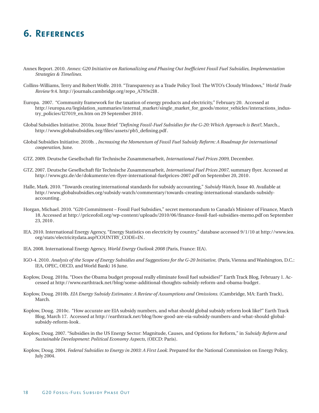# **6. References**

- Annex Report. 2010. *Annex: G20 Initiative on Rationalizing and Phasing Out Inefficient Fossil Fuel Subsidies, Implementation Strategies & Timelines.*
- Collins-Williams, Terry and Robert Wolfe. 2010. "Transparency as a Trade Policy Tool: The WTO's Cloudy Windows," *World Trade Review* 9:4. http://journals.cambridge.org/repo\_A793e2I8.
- Europa. 2007. "Community framework for the taxation of energy products and electricity," February 20. Accessed at http://europa.eu/legislation\_summaries/internal\_market/single\_market\_for\_goods/motor\_vehicles/interactions\_industry\_policies/l27019\_en.htm on 29 September 2010.
- Global Subsidies Initiative. 2010a. Issue Brief *"Defining Fossil-Fuel Subsidies for the G-20: Which Approach is Best?*, March., http://www.globalsubsidies.org/files/assets/pb5\_defining.pdf.
- Global Subsidies Initiative. 2010b. , *Increasing the Momentum of Fossil Fuel Subsidy Reform: A Roadmap for international cooperation*, June.
- GTZ. 2009. Deutsche Gesellschaft für Technische Zusammenarbeit, *International Fuel Prices 2009*, December.
- GTZ. 2007. Deutsche Gesellschaft für Technische Zusammenarbeit, *International Fuel Prices 2007*, summary flyer. Accessed at http://www.gtz.de/de/dokumente/en-flyer-international-fuelprices-2007.pdf on September 20, 2010 .
- Halle, Mark. 2010. "Towards creating international standards for subsidy accounting," *Subsidy Watch*, Issue 40. Available at http://www.globalsubsidies.org/subsidy-watch/commentary/towards-creating-international-standards-subsidyaccounting .
- Horgan, Michael. 2010. "G20 Commitment Fossil Fuel Subsidies," secret memorandum to Canada's Minister of Finance, March 18. Accessed at http://priceofoil.org/wp-content/uploads/2010/06/finance-fossil-fuel-subsidies-memo.pdf on September 23, 2010 .
- IEA. 2010. International Energy Agency, "Energy Statistics on electricity by country," database accessed 9/1/10 at http://www.iea. org/stats/electricitydata.asp?COUNTRY\_CODE=IN.
- IEA. 2008. International Energy Agency, *World Energy Outlook 2008* (Paris, France: IEA).
- IGO-4. 2010. *Analysis of the Scope of Energy Subsidies and Suggestions for the G-20 Initiative,* (Paris, Vienna and Washington, D.C.: IEA, OPEC, OECD, and World Bank) 16 June.
- Koplow, Doug. 2010a. "Does the Obama budget proposal really eliminate fossil fuel subsidies?" Earth Track Blog, February 1. Accessed at http://www.earthtrack.net/blog/some-additional-thoughts-subsidy-reform-and-obama-budget .
- Koplow, Doug. 2010b. *EIA Energy Subsidy Estimates: A Review of Assumptions and Omissions.* (Cambridge, MA: Earth Track), March.
- Koplow, Doug. 2010c. "How accurate are EIA subsidy numbers, and what should global subsidy reform look like?" Earth Track Blog, March 17. Accessed at http://earthtrack.net/blog/how-good-are-eia-subsidy-numbers-and-what-should-globalsubsidy-reform-look .
- Koplow, Doug. 2007. "Subsidies in the US Energy Sector: Magnitude, Causes, and Options for Reform," in *Subsidy Reform and Sustainable Development: Political Economy Aspects*, (OECD: Paris).
- Koplow, Doug. 2004. *Federal Subsidies to Energy in 2003: A First Look.* Prepared for the National Commission on Energy Policy, July 2004.